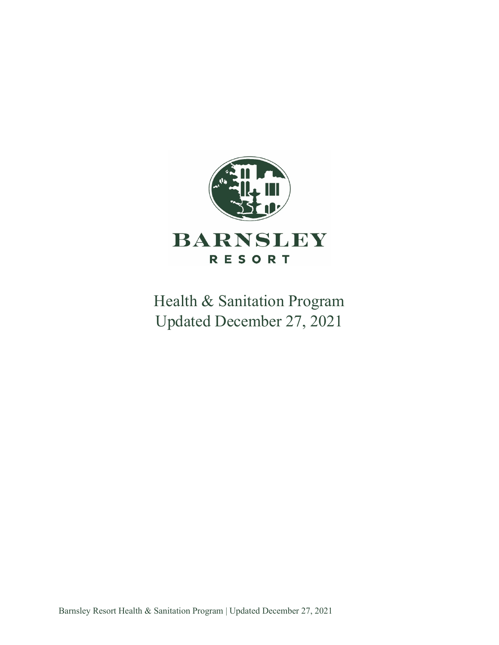

Health & Sanitation Program Updated December 27, 2021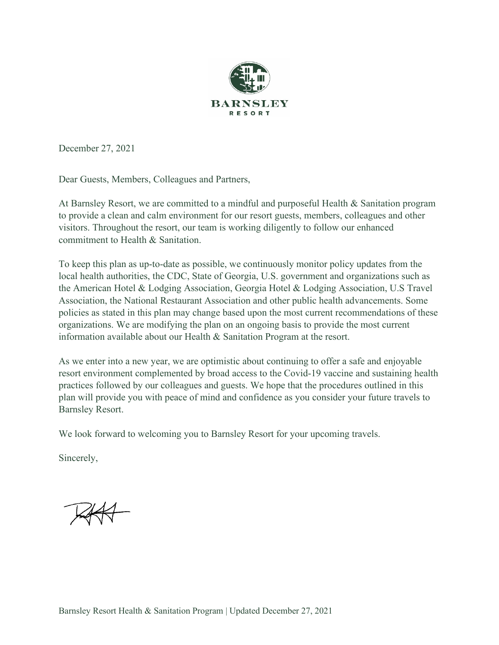

December 27, 2021

Dear Guests, Members, Colleagues and Partners,

At Barnsley Resort, we are committed to a mindful and purposeful Health & Sanitation program to provide a clean and calm environment for our resort guests, members, colleagues and other visitors. Throughout the resort, our team is working diligently to follow our enhanced commitment to Health & Sanitation.

To keep this plan as up-to-date as possible, we continuously monitor policy updates from the local health authorities, the CDC, State of Georgia, U.S. government and organizations such as the American Hotel & Lodging Association, Georgia Hotel & Lodging Association, U.S Travel Association, the National Restaurant Association and other public health advancements. Some policies as stated in this plan may change based upon the most current recommendations of these organizations. We are modifying the plan on an ongoing basis to provide the most current information available about our Health & Sanitation Program at the resort.

As we enter into a new year, we are optimistic about continuing to offer a safe and enjoyable resort environment complemented by broad access to the Covid-19 vaccine and sustaining health practices followed by our colleagues and guests. We hope that the procedures outlined in this plan will provide you with peace of mind and confidence as you consider your future travels to Barnsley Resort.

We look forward to welcoming you to Barnsley Resort for your upcoming travels.

Sincerely,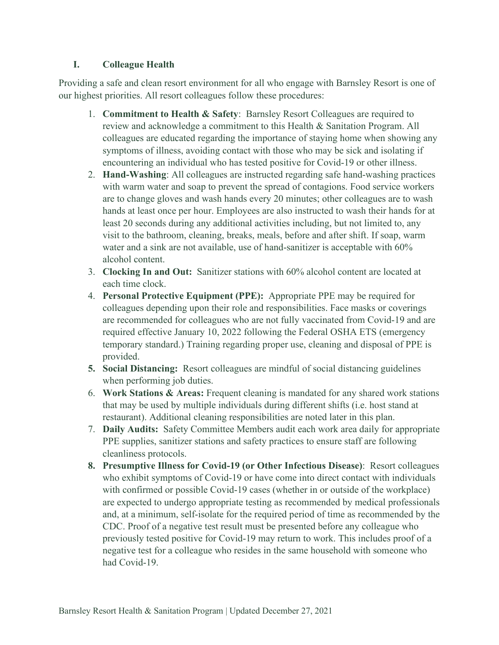#### **I. Colleague Health**

Providing a safe and clean resort environment for all who engage with Barnsley Resort is one of our highest priorities. All resort colleagues follow these procedures:

- 1. **Commitment to Health & Safety**: Barnsley Resort Colleagues are required to review and acknowledge a commitment to this Health & Sanitation Program. All colleagues are educated regarding the importance of staying home when showing any symptoms of illness, avoiding contact with those who may be sick and isolating if encountering an individual who has tested positive for Covid-19 or other illness.
- 2. **Hand-Washing**: All colleagues are instructed regarding safe hand-washing practices with warm water and soap to prevent the spread of contagions. Food service workers are to change gloves and wash hands every 20 minutes; other colleagues are to wash hands at least once per hour. Employees are also instructed to wash their hands for at least 20 seconds during any additional activities including, but not limited to, any visit to the bathroom, cleaning, breaks, meals, before and after shift. If soap, warm water and a sink are not available, use of hand-sanitizer is acceptable with 60% alcohol content.
- 3. **Clocking In and Out:** Sanitizer stations with 60% alcohol content are located at each time clock.
- 4. **Personal Protective Equipment (PPE):** Appropriate PPE may be required for colleagues depending upon their role and responsibilities. Face masks or coverings are recommended for colleagues who are not fully vaccinated from Covid-19 and are required effective January 10, 2022 following the Federal OSHA ETS (emergency temporary standard.) Training regarding proper use, cleaning and disposal of PPE is provided.
- **5. Social Distancing:** Resort colleagues are mindful of social distancing guidelines when performing job duties.
- 6. **Work Stations & Areas:** Frequent cleaning is mandated for any shared work stations that may be used by multiple individuals during different shifts (i.e. host stand at restaurant). Additional cleaning responsibilities are noted later in this plan.
- 7. **Daily Audits:** Safety Committee Members audit each work area daily for appropriate PPE supplies, sanitizer stations and safety practices to ensure staff are following cleanliness protocols.
- **8. Presumptive Illness for Covid-19 (or Other Infectious Disease)**: Resort colleagues who exhibit symptoms of Covid-19 or have come into direct contact with individuals with confirmed or possible Covid-19 cases (whether in or outside of the workplace) are expected to undergo appropriate testing as recommended by medical professionals and, at a minimum, self-isolate for the required period of time as recommended by the CDC. Proof of a negative test result must be presented before any colleague who previously tested positive for Covid-19 may return to work. This includes proof of a negative test for a colleague who resides in the same household with someone who had Covid-19.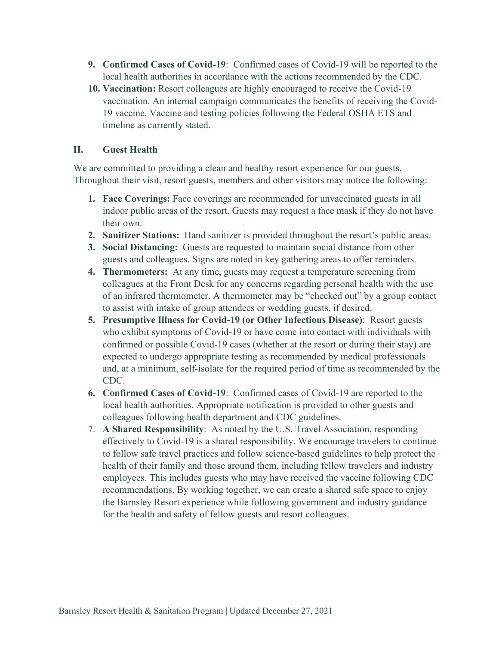- **9. Confirmed Cases of Covid-19**: Confirmed cases of Covid-19 will be reported to the local health authorities in accordance with the actions recommended by the CDC.
- **10. Vaccination:** Resort colleagues are highly encouraged to receive the Covid-19 vaccination. An internal campaign communicates the benefits of receiving the Covid-19 vaccine. Vaccine and testing policies following the Federal OSHA ETS and timeline as currently stated.

### **II. Guest Health**

We are committed to providing a clean and healthy resort experience for our guests. Throughout their visit, resort guests, members and other visitors may notice the following:

- **1. Face Coverings:** Face coverings are recommended for unvaccinated guests in all indoor public areas of the resort. Guests may request a face mask if they do not have their own.
- **2. Sanitizer Stations:** Hand sanitizer is provided throughout the resort's public areas.
- **3. Social Distancing:** Guests are requested to maintain social distance from other guests and colleagues. Signs are noted in key gathering areas to offer reminders.
- **4. Thermometers:** At any time, guests may request a temperature screening from colleagues at the Front Desk for any concerns regarding personal health with the use of an infrared thermometer. A thermometer may be "checked out" by a group contact to assist with intake of group attendees or wedding guests, if desired.
- **5. Presumptive Illness for Covid-19 (or Other Infectious Disease)**: Resort guests who exhibit symptoms of Covid-19 or have come into contact with individuals with confirmed or possible Covid-19 cases (whether at the resort or during their stay) are expected to undergo appropriate testing as recommended by medical professionals and, at a minimum, self-isolate for the required period of time as recommended by the CDC.
- **6. Confirmed Cases of Covid-19**: Confirmed cases of Covid-19 are reported to the local health authorities. Appropriate notification is provided to other guests and colleagues following health department and CDC guidelines.
- 7. **A Shared Responsibility**: As noted by the U.S. Travel Association, responding effectively to Covid-19 is a shared responsibility. We encourage travelers to continue to follow safe travel practices and follow science-based guidelines to help protect the health of their family and those around them, including fellow travelers and industry employees. This includes guests who may have received the vaccine following CDC recommendations. By working together, we can create a shared safe space to enjoy the Barnsley Resort experience while following government and industry guidance for the health and safety of fellow guests and resort colleagues.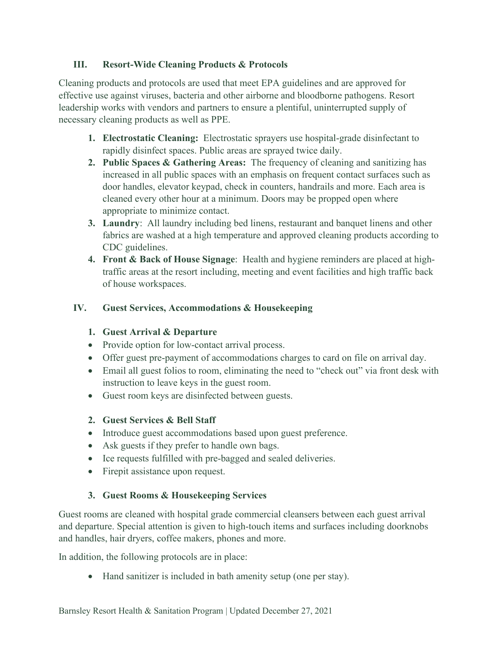### **III. Resort-Wide Cleaning Products & Protocols**

Cleaning products and protocols are used that meet EPA guidelines and are approved for effective use against viruses, bacteria and other airborne and bloodborne pathogens. Resort leadership works with vendors and partners to ensure a plentiful, uninterrupted supply of necessary cleaning products as well as PPE.

- **1. Electrostatic Cleaning:** Electrostatic sprayers use hospital-grade disinfectant to rapidly disinfect spaces. Public areas are sprayed twice daily.
- **2. Public Spaces & Gathering Areas:** The frequency of cleaning and sanitizing has increased in all public spaces with an emphasis on frequent contact surfaces such as door handles, elevator keypad, check in counters, handrails and more. Each area is cleaned every other hour at a minimum. Doors may be propped open where appropriate to minimize contact.
- **3. Laundry**: All laundry including bed linens, restaurant and banquet linens and other fabrics are washed at a high temperature and approved cleaning products according to CDC guidelines.
- **4. Front & Back of House Signage**: Health and hygiene reminders are placed at hightraffic areas at the resort including, meeting and event facilities and high traffic back of house workspaces.

### **IV. Guest Services, Accommodations & Housekeeping**

#### **1. Guest Arrival & Departure**

- Provide option for low-contact arrival process.
- Offer guest pre-payment of accommodations charges to card on file on arrival day.
- Email all guest folios to room, eliminating the need to "check out" via front desk with instruction to leave keys in the guest room.
- Guest room keys are disinfected between guests.

#### **2. Guest Services & Bell Staff**

- Introduce guest accommodations based upon guest preference.
- Ask guests if they prefer to handle own bags.
- Ice requests fulfilled with pre-bagged and sealed deliveries.
- Firepit assistance upon request.

# **3. Guest Rooms & Housekeeping Services**

Guest rooms are cleaned with hospital grade commercial cleansers between each guest arrival and departure. Special attention is given to high-touch items and surfaces including doorknobs and handles, hair dryers, coffee makers, phones and more.

In addition, the following protocols are in place:

• Hand sanitizer is included in bath amenity setup (one per stay).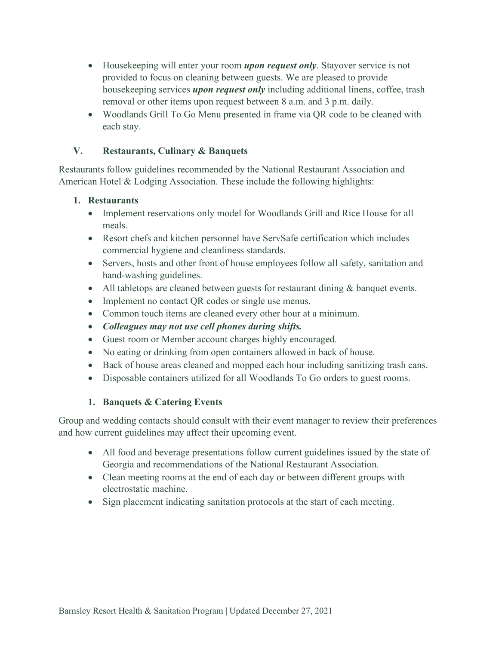- Housekeeping will enter your room *upon request only*. Stayover service is not provided to focus on cleaning between guests. We are pleased to provide housekeeping services *upon request only* including additional linens, coffee, trash removal or other items upon request between 8 a.m. and 3 p.m. daily.
- Woodlands Grill To Go Menu presented in frame via QR code to be cleaned with each stay.

# **V. Restaurants, Culinary & Banquets**

Restaurants follow guidelines recommended by the National Restaurant Association and American Hotel & Lodging Association. These include the following highlights:

#### **1. Restaurants**

- Implement reservations only model for Woodlands Grill and Rice House for all meals.
- Resort chefs and kitchen personnel have ServSafe certification which includes commercial hygiene and cleanliness standards.
- Servers, hosts and other front of house employees follow all safety, sanitation and hand-washing guidelines.
- All tabletops are cleaned between guests for restaurant dining & banquet events.
- Implement no contact QR codes or single use menus.
- Common touch items are cleaned every other hour at a minimum.
- *Colleagues may not use cell phones during shifts.*
- Guest room or Member account charges highly encouraged.
- No eating or drinking from open containers allowed in back of house.
- Back of house areas cleaned and mopped each hour including sanitizing trash cans.
- Disposable containers utilized for all Woodlands To Go orders to guest rooms.

# **1. Banquets & Catering Events**

Group and wedding contacts should consult with their event manager to review their preferences and how current guidelines may affect their upcoming event.

- All food and beverage presentations follow current guidelines issued by the state of Georgia and recommendations of the National Restaurant Association.
- Clean meeting rooms at the end of each day or between different groups with electrostatic machine.
- Sign placement indicating sanitation protocols at the start of each meeting.